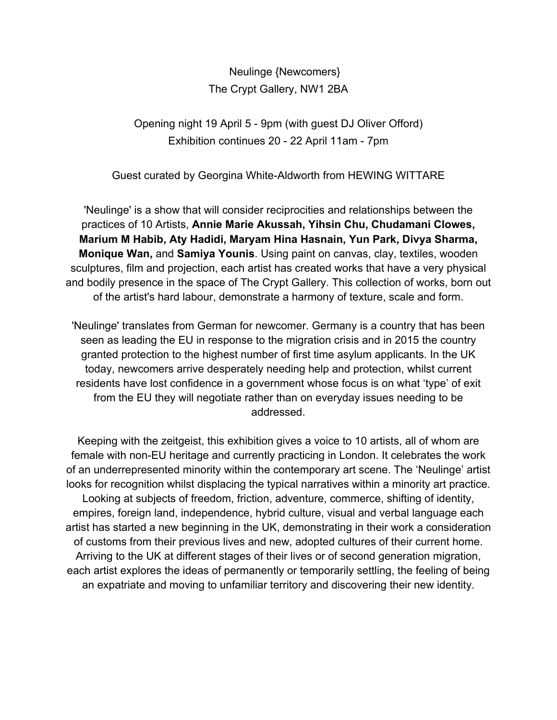Neulinge {Newcomers} The Crypt Gallery, NW1 2BA

Opening night 19 April 5 - 9pm (with guest DJ Oliver Offord) Exhibition continues 20 - 22 April 11am - 7pm

Guest curated by Georgina White-Aldworth from HEWING WITTARE

'Neulinge' is a show that will consider reciprocities and relationships between the practices of 10 Artists, **Annie Marie Akussah, Yihsin Chu, Chudamani Clowes, Marium M Habib, Aty Hadidi, Maryam Hina Hasnain, Yun Park, Divya Sharma, Monique Wan,** and **Samiya Younis**. Using paint on canvas, clay, textiles, wooden sculptures, film and projection, each artist has created works that have a very physical and bodily presence in the space of The Crypt Gallery. This collection of works, born out of the artist's hard labour, demonstrate a harmony of texture, scale and form.

'Neulinge' translates from German for newcomer. Germany is a country that has been seen as leading the EU in response to the migration crisis and in 2015 the country granted protection to the highest number of first time asylum applicants. In the UK today, newcomers arrive desperately needing help and protection, whilst current residents have lost confidence in a government whose focus is on what 'type' of exit from the EU they will negotiate rather than on everyday issues needing to be addressed.

Keeping with the zeitgeist, this exhibition gives a voice to 10 artists, all of whom are female with non-EU heritage and currently practicing in London. It celebrates the work of an underrepresented minority within the contemporary art scene. The 'Neulinge' artist looks for recognition whilst displacing the typical narratives within a minority art practice. Looking at subjects of freedom, friction, adventure, commerce, shifting of identity, empires, foreign land, independence, hybrid culture, visual and verbal language each artist has started a new beginning in the UK, demonstrating in their work a consideration of customs from their previous lives and new, adopted cultures of their current home. Arriving to the UK at different stages of their lives or of second generation migration, each artist explores the ideas of permanently or temporarily settling, the feeling of being an expatriate and moving to unfamiliar territory and discovering their new identity.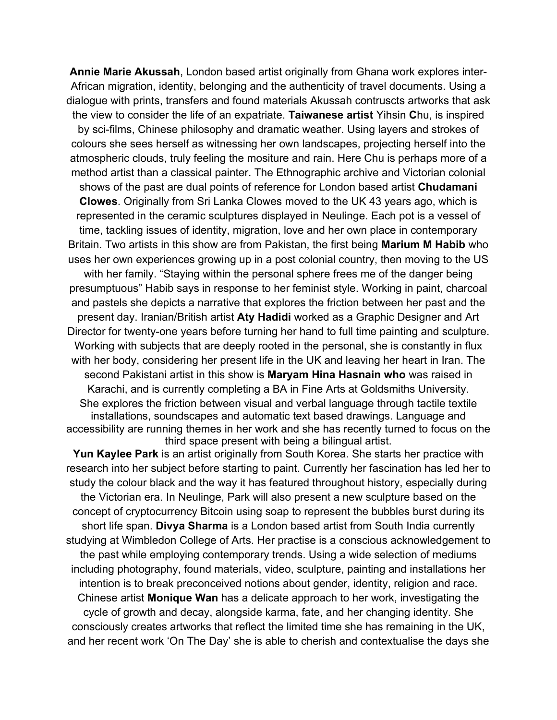**Annie Marie Akussah**, London based artist originally from Ghana work explores inter-African migration, identity, belonging and the authenticity of travel documents. Using a dialogue with prints, transfers and found materials Akussah contruscts artworks that ask the view to consider the life of an expatriate. **Taiwanese artist** Yihsin **C**hu, is inspired by sci-films, Chinese philosophy and dramatic weather. Using layers and strokes of colours she sees herself as witnessing her own landscapes, projecting herself into the atmospheric clouds, truly feeling the mositure and rain. Here Chu is perhaps more of a method artist than a classical painter. The Ethnographic archive and Victorian colonial shows of the past are dual points of reference for London based artist **Chudamani Clowes**. Originally from Sri Lanka Clowes moved to the UK 43 years ago, which is represented in the ceramic sculptures displayed in Neulinge. Each pot is a vessel of time, tackling issues of identity, migration, love and her own place in contemporary Britain. Two artists in this show are from Pakistan, the first being **Marium M Habib** who uses her own experiences growing up in a post colonial country, then moving to the US with her family. "Staying within the personal sphere frees me of the danger being presumptuous" Habib says in response to her feminist style. Working in paint, charcoal and pastels she depicts a narrative that explores the friction between her past and the present day. Iranian/British artist **Aty Hadidi** worked as a Graphic Designer and Art Director for twenty-one years before turning her hand to full time painting and sculpture. Working with subjects that are deeply rooted in the personal, she is constantly in flux with her body, considering her present life in the UK and leaving her heart in Iran. The second Pakistani artist in this show is **Maryam Hina Hasnain who** was raised in Karachi, and is currently completing a BA in Fine Arts at Goldsmiths University. She explores the friction between visual and verbal language through tactile textile installations, soundscapes and automatic text based drawings. Language and accessibility are running themes in her work and she has recently turned to focus on the third space present with being a bilingual artist.

**Yun Kaylee Park** is an artist originally from South Korea. She starts her practice with research into her subject before starting to paint. Currently her fascination has led her to study the colour black and the way it has featured throughout history, especially during the Victorian era. In Neulinge, Park will also present a new sculpture based on the concept of cryptocurrency Bitcoin using soap to represent the bubbles burst during its short life span. **Divya Sharma** is a London based artist from South India currently studying at Wimbledon College of Arts. Her practise is a conscious acknowledgement to the past while employing contemporary trends. Using a wide selection of mediums including photography, found materials, video, sculpture, painting and installations her intention is to break preconceived notions about gender, identity, religion and race. Chinese artist **Monique Wan** has a delicate approach to her work, investigating the cycle of growth and decay, alongside karma, fate, and her changing identity. She consciously creates artworks that reflect the limited time she has remaining in the UK, and her recent work 'On The Day' she is able to cherish and contextualise the days she